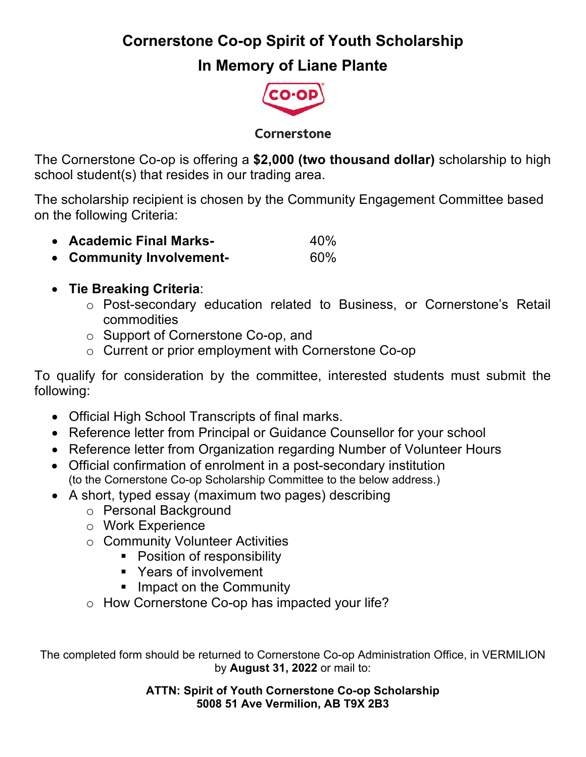**Cornerstone Co-op Spirit of Youth Scholarship**

## **In Memory of Liane Plante**



Cornerstone

The Cornerstone Co-op is offering a **\$2,000 (two thousand dollar)** scholarship to high school student(s) that resides in our trading area.

The scholarship recipient is chosen by the Community Engagement Committee based on the following Criteria:

- **Academic Final Marks-** 40%
- **Community Involvement-** 60%
- **Tie Breaking Criteria**:
	- o Post-secondary education related to Business, or Cornerstone's Retail commodities
	- o Support of Cornerstone Co-op, and
	- o Current or prior employment with Cornerstone Co-op

To qualify for consideration by the committee, interested students must submit the following:

- Official High School Transcripts of final marks.
- Reference letter from Principal or Guidance Counsellor for your school
- Reference letter from Organization regarding Number of Volunteer Hours
- Official confirmation of enrolment in a post-secondary institution (to the Cornerstone Co-op Scholarship Committee to the below address.)
- A short, typed essay (maximum two pages) describing
	- o Personal Background
	- o Work Experience
	- o Community Volunteer Activities
		- Position of responsibility
		- Years of involvement
		- Impact on the Community
	- o How Cornerstone Co-op has impacted your life?

The completed form should be returned to Cornerstone Co-op Administration Office, in VERMILION by **August 31, 2022** or mail to:

> **ATTN: Spirit of Youth Cornerstone Co-op Scholarship 5008 51 Ave Vermilion, AB T9X 2B3**